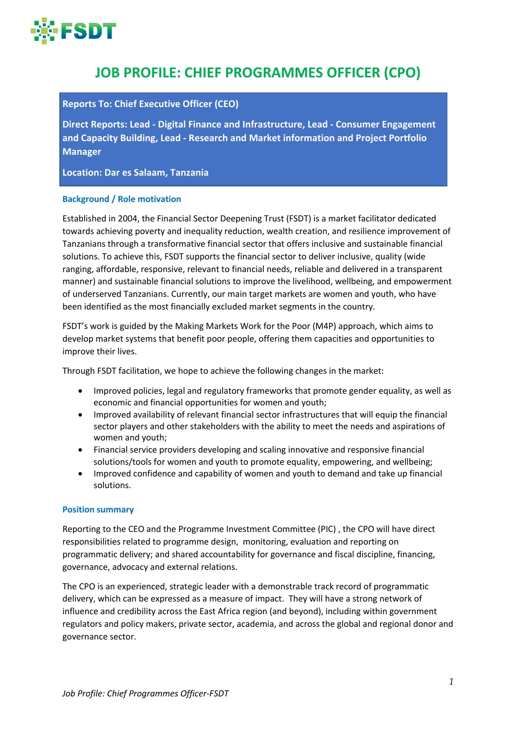

# **JOB PROFILE: CHIEF PROGRAMMES OFFICER (CPO)**

## **Reports To: Chief Executive Officer (CEO)**

**Direct Reports: Lead - Digital Finance and Infrastructure, Lead - Consumer Engagement and Capacity Building, Lead - Research and Market information and Project Portfolio Manager**

**Location: Dar es Salaam, Tanzania**

## **Background / Role motivation**

Established in 2004, the Financial Sector Deepening Trust (FSDT) is a market facilitator dedicated towards achieving poverty and inequality reduction, wealth creation, and resilience improvement of Tanzanians through a transformative financial sector that offers inclusive and sustainable financial solutions. To achieve this, FSDT supports the financial sector to deliver inclusive, quality (wide ranging, affordable, responsive, relevant to financial needs, reliable and delivered in a transparent manner) and sustainable financial solutions to improve the livelihood, wellbeing, and empowerment of underserved Tanzanians. Currently, our main target markets are women and youth, who have been identified as the most financially excluded market segments in the country.

FSDT's work is guided by the Making Markets Work for the Poor (M4P) approach, which aims to develop market systems that benefit poor people, offering them capacities and opportunities to improve their lives.

Through FSDT facilitation, we hope to achieve the following changes in the market:

- Improved policies, legal and regulatory frameworks that promote gender equality, as well as economic and financial opportunities for women and youth;
- Improved availability of relevant financial sector infrastructures that will equip the financial sector players and other stakeholders with the ability to meet the needs and aspirations of women and youth;
- Financial service providers developing and scaling innovative and responsive financial solutions/tools for women and youth to promote equality, empowering, and wellbeing;
- Improved confidence and capability of women and youth to demand and take up financial solutions.

#### **Position summary**

Reporting to the CEO and the Programme Investment Committee (PIC) , the CPO will have direct responsibilities related to programme design, monitoring, evaluation and reporting on programmatic delivery; and shared accountability for governance and fiscal discipline, financing, governance, advocacy and external relations.

The CPO is an experienced, strategic leader with a demonstrable track record of programmatic delivery, which can be expressed as a measure of impact. They will have a strong network of influence and credibility across the East Africa region (and beyond), including within government regulators and policy makers, private sector, academia, and across the global and regional donor and governance sector.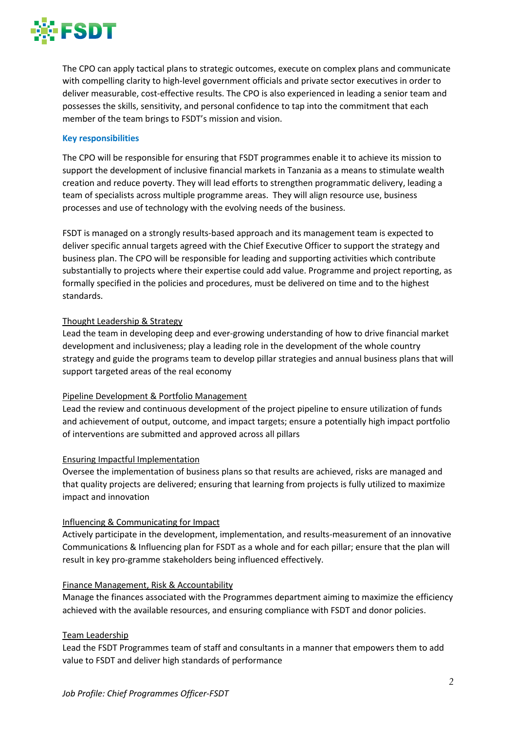

The CPO can apply tactical plans to strategic outcomes, execute on complex plans and communicate with compelling clarity to high-level government officials and private sector executives in order to deliver measurable, cost-effective results. The CPO is also experienced in leading a senior team and possesses the skills, sensitivity, and personal confidence to tap into the commitment that each member of the team brings to FSDT's mission and vision.

## **Key responsibilities**

The CPO will be responsible for ensuring that FSDT programmes enable it to achieve its mission to support the development of inclusive financial markets in Tanzania as a means to stimulate wealth creation and reduce poverty. They will lead efforts to strengthen programmatic delivery, leading a team of specialists across multiple programme areas. They will align resource use, business processes and use of technology with the evolving needs of the business.

FSDT is managed on a strongly results-based approach and its management team is expected to deliver specific annual targets agreed with the Chief Executive Officer to support the strategy and business plan. The CPO will be responsible for leading and supporting activities which contribute substantially to projects where their expertise could add value. Programme and project reporting, as formally specified in the policies and procedures, must be delivered on time and to the highest standards.

## Thought Leadership & Strategy

Lead the team in developing deep and ever-growing understanding of how to drive financial market development and inclusiveness; play a leading role in the development of the whole country strategy and guide the programs team to develop pillar strategies and annual business plans that will support targeted areas of the real economy

## Pipeline Development & Portfolio Management

Lead the review and continuous development of the project pipeline to ensure utilization of funds and achievement of output, outcome, and impact targets; ensure a potentially high impact portfolio of interventions are submitted and approved across all pillars

## Ensuring Impactful Implementation

Oversee the implementation of business plans so that results are achieved, risks are managed and that quality projects are delivered; ensuring that learning from projects is fully utilized to maximize impact and innovation

## Influencing & Communicating for Impact

Actively participate in the development, implementation, and results-measurement of an innovative Communications & Influencing plan for FSDT as a whole and for each pillar; ensure that the plan will result in key pro-gramme stakeholders being influenced effectively.

## Finance Management, Risk & Accountability

Manage the finances associated with the Programmes department aiming to maximize the efficiency achieved with the available resources, and ensuring compliance with FSDT and donor policies.

## Team Leadership

Lead the FSDT Programmes team of staff and consultants in a manner that empowers them to add value to FSDT and deliver high standards of performance